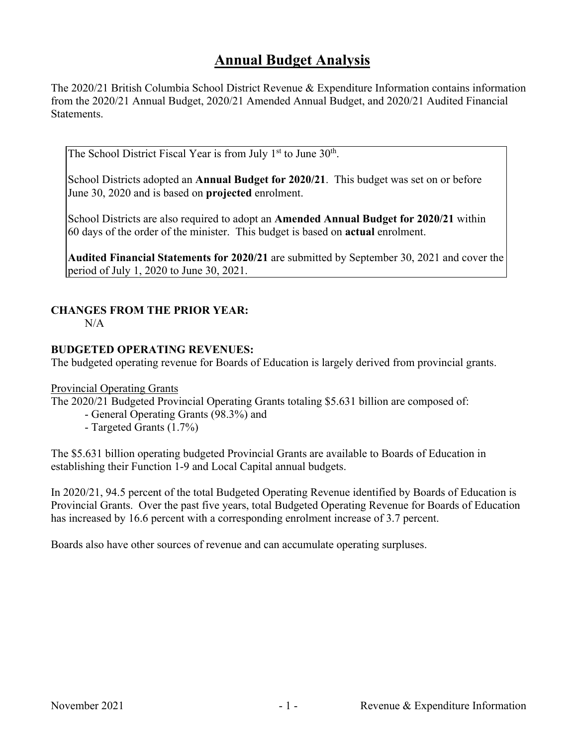# **Annual Budget Analysis**

The 2020/21 British Columbia School District Revenue & Expenditure Information contains information from the 2020/21 Annual Budget, 2020/21 Amended Annual Budget, and 2020/21 Audited Financial Statements.

The School District Fiscal Year is from July  $1<sup>st</sup>$  to June  $30<sup>th</sup>$ .

School Districts adopted an **Annual Budget for 2020/21**. This budget was set on or before June 30, 2020 and is based on **projected** enrolment.

School Districts are also required to adopt an **Amended Annual Budget for 2020/21** within 60 days of the order of the minister. This budget is based on **actual** enrolment.

**Audited Financial Statements for 2020/21** are submitted by September 30, 2021 and cover the period of July 1, 2020 to June 30, 2021.

## **CHANGES FROM THE PRIOR YEAR:**

 $N/A$ 

#### **BUDGETED OPERATING REVENUES:**

The budgeted operating revenue for Boards of Education is largely derived from provincial grants.

Provincial Operating Grants

The 2020/21 Budgeted Provincial Operating Grants totaling \$5.631 billion are composed of:

- General Operating Grants (98.3%) and

- Targeted Grants (1.7%)

The \$5.631 billion operating budgeted Provincial Grants are available to Boards of Education in establishing their Function 1-9 and Local Capital annual budgets.

In 2020/21, 94.5 percent of the total Budgeted Operating Revenue identified by Boards of Education is Provincial Grants. Over the past five years, total Budgeted Operating Revenue for Boards of Education has increased by 16.6 percent with a corresponding enrolment increase of 3.7 percent.

Boards also have other sources of revenue and can accumulate operating surpluses.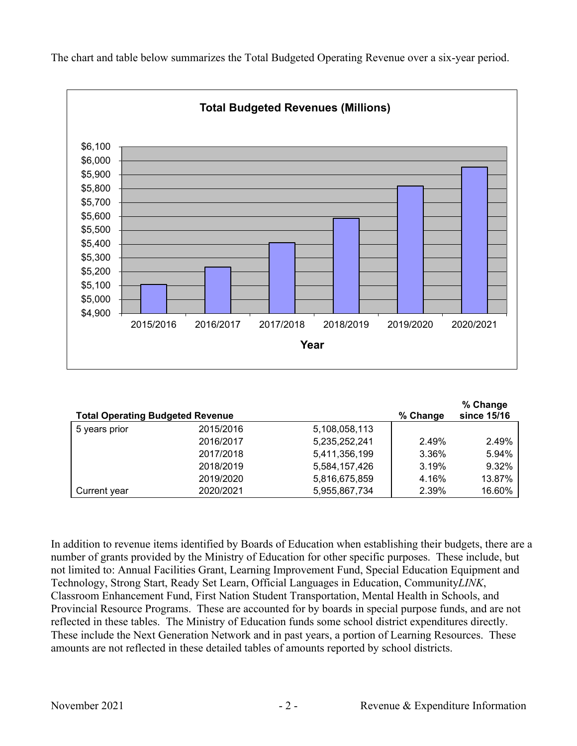

The chart and table below summarizes the Total Budgeted Operating Revenue over a six-year period.

| <b>Total Operating Budgeted Revenue</b> |           |               | % Change | % Change<br>since 15/16 |
|-----------------------------------------|-----------|---------------|----------|-------------------------|
| 5 years prior                           | 2015/2016 | 5,108,058,113 |          |                         |
|                                         | 2016/2017 | 5,235,252,241 | 2.49%    | 2.49%                   |
|                                         | 2017/2018 | 5,411,356,199 | 3.36%    | 5.94%                   |
|                                         | 2018/2019 | 5,584,157,426 | 3.19%    | 9.32%                   |
|                                         | 2019/2020 | 5,816,675,859 | 4.16%    | 13.87%                  |
| Current year                            | 2020/2021 | 5,955,867,734 | 2.39%    | 16.60%                  |

In addition to revenue items identified by Boards of Education when establishing their budgets, there are a number of grants provided by the Ministry of Education for other specific purposes. These include, but not limited to: Annual Facilities Grant, Learning Improvement Fund, Special Education Equipment and Technology, Strong Start, Ready Set Learn, Official Languages in Education, Community*LINK*, Classroom Enhancement Fund, First Nation Student Transportation, Mental Health in Schools, and Provincial Resource Programs. These are accounted for by boards in special purpose funds, and are not reflected in these tables. The Ministry of Education funds some school district expenditures directly. These include the Next Generation Network and in past years, a portion of Learning Resources. These amounts are not reflected in these detailed tables of amounts reported by school districts.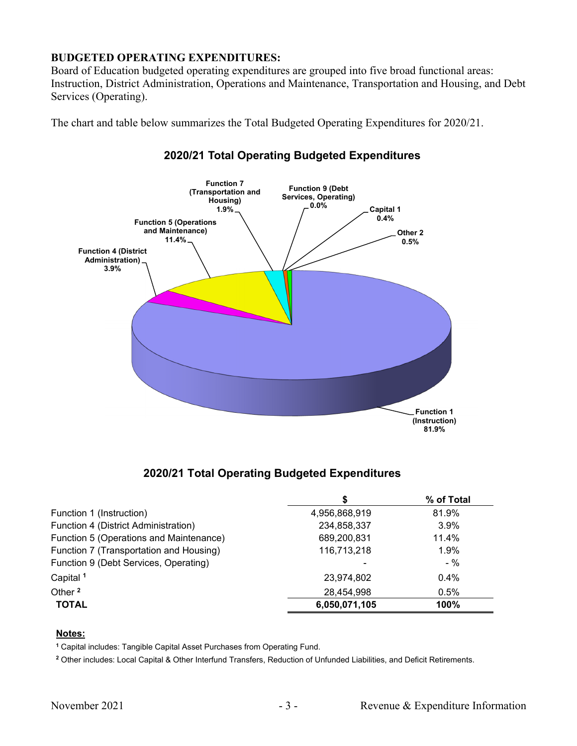## **BUDGETED OPERATING EXPENDITURES:**

Board of Education budgeted operating expenditures are grouped into five broad functional areas: Instruction, District Administration, Operations and Maintenance, Transportation and Housing, and Debt Services (Operating).

The chart and table below summarizes the Total Budgeted Operating Expenditures for 2020/21.



## **2020/21 Total Operating Budgeted Expenditures**

## **2020/21 Total Operating Budgeted Expenditures**

|                                         |               | % of Total |
|-----------------------------------------|---------------|------------|
| Function 1 (Instruction)                | 4,956,868,919 | 81.9%      |
| Function 4 (District Administration)    | 234,858,337   | 3.9%       |
| Function 5 (Operations and Maintenance) | 689,200,831   | 11.4%      |
| Function 7 (Transportation and Housing) | 116,713,218   | 1.9%       |
| Function 9 (Debt Services, Operating)   |               | $-$ %      |
| Capital <sup>1</sup>                    | 23,974,802    | 0.4%       |
| Other <sup>2</sup>                      | 28,454,998    | 0.5%       |
| <b>TOTAL</b>                            | 6,050,071,105 | 100%       |

#### **Notes:**

**<sup>1</sup>** Capital includes: Tangible Capital Asset Purchases from Operating Fund.

**<sup>2</sup>** Other includes: Local Capital & Other Interfund Transfers, Reduction of Unfunded Liabilities, and Deficit Retirements.